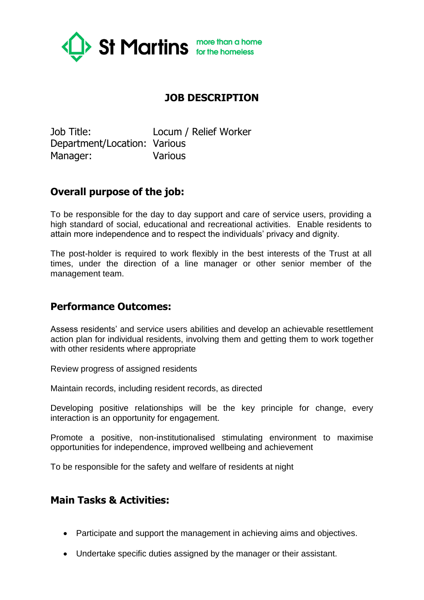

## **JOB DESCRIPTION**

Job Title: Locum / Relief Worker Department/Location: Various Manager: Various

### **Overall purpose of the job:**

To be responsible for the day to day support and care of service users, providing a high standard of social, educational and recreational activities. Enable residents to attain more independence and to respect the individuals' privacy and dignity.

The post-holder is required to work flexibly in the best interests of the Trust at all times, under the direction of a line manager or other senior member of the management team.

### **Performance Outcomes:**

Assess residents' and service users abilities and develop an achievable resettlement action plan for individual residents, involving them and getting them to work together with other residents where appropriate

Review progress of assigned residents

Maintain records, including resident records, as directed

Developing positive relationships will be the key principle for change, every interaction is an opportunity for engagement.

Promote a positive, non-institutionalised stimulating environment to maximise opportunities for independence, improved wellbeing and achievement

To be responsible for the safety and welfare of residents at night

### **Main Tasks & Activities:**

- Participate and support the management in achieving aims and objectives.
- Undertake specific duties assigned by the manager or their assistant.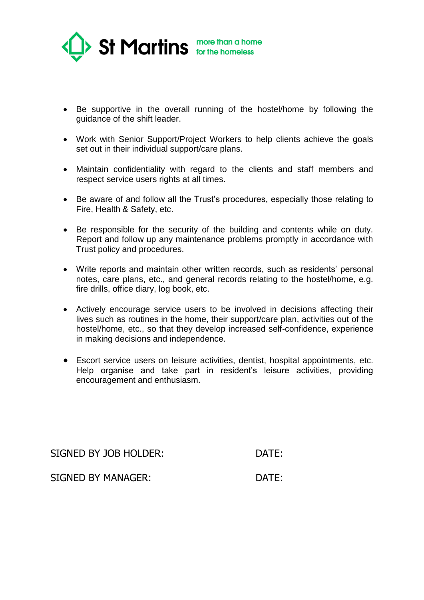

- Be supportive in the overall running of the hostel/home by following the guidance of the shift leader.
- Work with Senior Support/Project Workers to help clients achieve the goals set out in their individual support/care plans.
- Maintain confidentiality with regard to the clients and staff members and respect service users rights at all times.
- Be aware of and follow all the Trust's procedures, especially those relating to Fire, Health & Safety, etc.
- Be responsible for the security of the building and contents while on duty. Report and follow up any maintenance problems promptly in accordance with Trust policy and procedures.
- Write reports and maintain other written records, such as residents' personal notes, care plans, etc., and general records relating to the hostel/home, e.g. fire drills, office diary, log book, etc.
- Actively encourage service users to be involved in decisions affecting their lives such as routines in the home, their support/care plan, activities out of the hostel/home, etc., so that they develop increased self-confidence, experience in making decisions and independence.
- Escort service users on leisure activities, dentist, hospital appointments, etc. Help organise and take part in resident's leisure activities, providing encouragement and enthusiasm.

SIGNED BY JOB HOLDER: DATE:

SIGNED BY MANAGER: DATE: